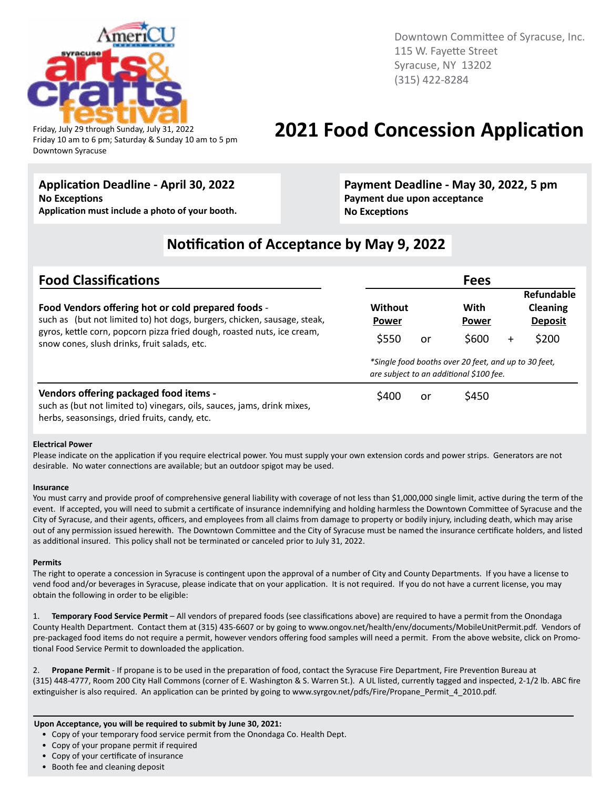

Downtown Syracuse

Downtown Committee of Syracuse, Inc. 115 W. Fayette Street Syracuse, NY 13202 (315) 422-8284

### Friday, July 29 through Sunday, July 31, 2022 **2021 Food Concession Application** Friday 10 am to 6 pm; Saturday & Sunday 10 am to 5 pm

### **Application Deadline - April 30, 2022**

**No Exceptions Application must include a photo of your booth.**

#### **Payment Deadline - May 30, 2022, 5 pm Payment due upon acceptance No Exceptions**

### **Notification of Acceptance by May 9, 2022**

| <b>Food Classifications</b>                                                                                                                                                                               |                                                                                                 | <b>Fees</b>                   |                                                               |  |  |
|-----------------------------------------------------------------------------------------------------------------------------------------------------------------------------------------------------------|-------------------------------------------------------------------------------------------------|-------------------------------|---------------------------------------------------------------|--|--|
| Food Vendors offering hot or cold prepared foods -<br>such as (but not limited to) hot dogs, burgers, chicken, sausage, steak,<br>gyros, kettle corn, popcorn pizza fried dough, roasted nuts, ice cream, | Without<br>Power<br>\$550<br>or                                                                 | With<br><b>Power</b><br>\$600 | Refundable<br><b>Cleaning</b><br><b>Deposit</b><br>\$200<br>+ |  |  |
| snow cones, slush drinks, fruit salads, etc.                                                                                                                                                              | *Single food booths over 20 feet, and up to 30 feet,<br>are subject to an additional \$100 fee. |                               |                                                               |  |  |
| Vendors offering packaged food items -<br>such as (but not limited to) vinegars, oils, sauces, jams, drink mixes,<br>herbs, seasonsings, dried fruits, candy, etc.                                        | \$400<br>or                                                                                     | \$450                         |                                                               |  |  |

#### **Electrical Power**

Please indicate on the application if you require electrical power. You must supply your own extension cords and power strips. Generators are not desirable. No water connections are available; but an outdoor spigot may be used.

#### **Insurance**

You must carry and provide proof of comprehensive general liability with coverage of not less than \$1,000,000 single limit, active during the term of the event. If accepted, you will need to submit a certificate of insurance indemnifying and holding harmless the Downtown Committee of Syracuse and the City of Syracuse, and their agents, officers, and employees from all claims from damage to property or bodily injury, including death, which may arise out of any permission issued herewith. The Downtown Committee and the City of Syracuse must be named the insurance certificate holders, and listed as additional insured. This policy shall not be terminated or canceled prior to July 31, 2022.

#### **Permits**

The right to operate a concession in Syracuse is contingent upon the approval of a number of City and County Departments. If you have a license to vend food and/or beverages in Syracuse, please indicate that on your application. It is not required. If you do not have a current license, you may obtain the following in order to be eligible:

1. **Temporary Food Service Permit** – All vendors of prepared foods (see classifications above) are required to have a permit from the Onondaga County Health Department. Contact them at (315) 435-6607 or by going to www.ongov.net/health/env/documents/MobileUnitPermit.pdf. Vendors of pre-packaged food items do not require a permit, however vendors offering food samples will need a permit. From the above website, click on Promotional Food Service Permit to downloaded the application.

2. **Propane Permit** - If propane is to be used in the preparation of food, contact the Syracuse Fire Department, Fire Prevention Bureau at (315) 448-4777, Room 200 City Hall Commons (corner of E. Washington & S. Warren St.). A UL listed, currently tagged and inspected, 2-1/2 lb. ABC fire extinguisher is also required. An application can be printed by going to www.syrgov.net/pdfs/Fire/Propane\_Permit\_4\_2010.pdf.

#### **Upon Acceptance, you will be required to submit by June 30, 2021:**

- Copy of your temporary food service permit from the Onondaga Co. Health Dept.
- Copy of your propane permit if required
- Copy of your certificate of insurance
- Booth fee and cleaning deposit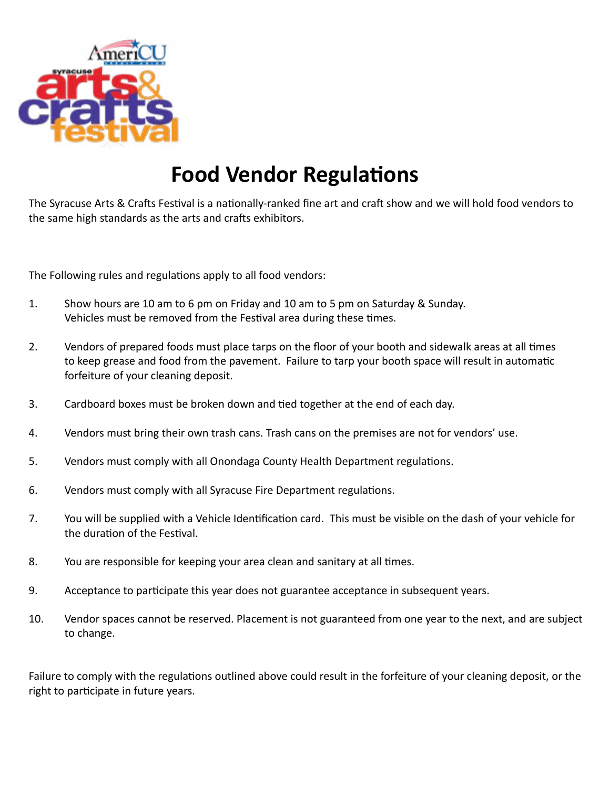

### **Food Vendor Regulations**

The Syracuse Arts & Crafts Festival is a nationally-ranked fine art and craft show and we will hold food vendors to the same high standards as the arts and crafts exhibitors.

The Following rules and regulations apply to all food vendors:

- 1. Show hours are 10 am to 6 pm on Friday and 10 am to 5 pm on Saturday & Sunday. Vehicles must be removed from the Festival area during these times.
- 2. Vendors of prepared foods must place tarps on the floor of your booth and sidewalk areas at all times to keep grease and food from the pavement. Failure to tarp your booth space will result in automatic forfeiture of your cleaning deposit.
- 3. Cardboard boxes must be broken down and tied together at the end of each day.
- 4. Vendors must bring their own trash cans. Trash cans on the premises are not for vendors' use.
- 5. Vendors must comply with all Onondaga County Health Department regulations.
- 6. Vendors must comply with all Syracuse Fire Department regulations.
- 7. You will be supplied with a Vehicle Identification card. This must be visible on the dash of your vehicle for the duration of the Festival.
- 8. You are responsible for keeping your area clean and sanitary at all times.
- 9. Acceptance to participate this year does not guarantee acceptance in subsequent years.
- 10. Vendor spaces cannot be reserved. Placement is not guaranteed from one year to the next, and are subject to change.

Failure to comply with the regulations outlined above could result in the forfeiture of your cleaning deposit, or the right to participate in future years.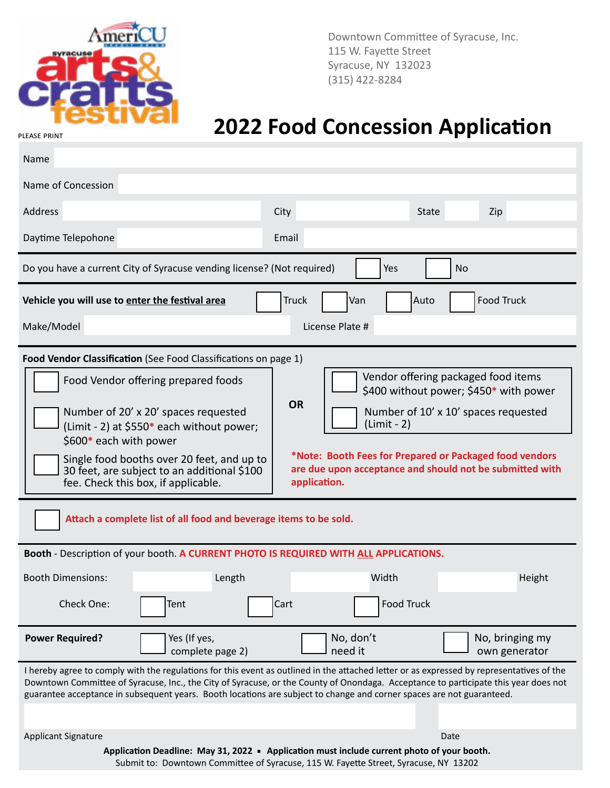

Downtown Committee of Syracuse, Inc. 115 W. Fayette Street Syracuse, NY 132023 (315) 422-8284

## **2022 Food Concession Application**

| Name                                                                                                                                                                                                                                                                                                                                                                                                                                                                                                                                                                                                                                                                                                                                                                                                                                                                                                                            |                  |              |                 |              |                   |
|---------------------------------------------------------------------------------------------------------------------------------------------------------------------------------------------------------------------------------------------------------------------------------------------------------------------------------------------------------------------------------------------------------------------------------------------------------------------------------------------------------------------------------------------------------------------------------------------------------------------------------------------------------------------------------------------------------------------------------------------------------------------------------------------------------------------------------------------------------------------------------------------------------------------------------|------------------|--------------|-----------------|--------------|-------------------|
| Name of Concession                                                                                                                                                                                                                                                                                                                                                                                                                                                                                                                                                                                                                                                                                                                                                                                                                                                                                                              |                  |              |                 |              |                   |
| Address                                                                                                                                                                                                                                                                                                                                                                                                                                                                                                                                                                                                                                                                                                                                                                                                                                                                                                                         |                  | <b>City</b>  |                 | <b>State</b> | Zip               |
| Daytime Telepohone                                                                                                                                                                                                                                                                                                                                                                                                                                                                                                                                                                                                                                                                                                                                                                                                                                                                                                              |                  | Email        |                 |              |                   |
| Do you have a current City of Syracuse vending license? (Not required)                                                                                                                                                                                                                                                                                                                                                                                                                                                                                                                                                                                                                                                                                                                                                                                                                                                          |                  |              |                 | Yes          | <b>No</b>         |
| Vehicle you will use to enter the festival area                                                                                                                                                                                                                                                                                                                                                                                                                                                                                                                                                                                                                                                                                                                                                                                                                                                                                 |                  | <b>Truck</b> | Van             | Auto         | <b>Food Truck</b> |
| Make/Model                                                                                                                                                                                                                                                                                                                                                                                                                                                                                                                                                                                                                                                                                                                                                                                                                                                                                                                      |                  |              | License Plate # |              |                   |
|                                                                                                                                                                                                                                                                                                                                                                                                                                                                                                                                                                                                                                                                                                                                                                                                                                                                                                                                 |                  |              |                 |              |                   |
| Food Vendor Classification (See Food Classifications on page 1)<br>Vendor offering packaged food items<br>Food Vendor offering prepared foods<br>\$400 without power; \$450* with power<br><b>OR</b><br>Number of 20' x 20' spaces requested<br>Number of 10' x 10' spaces requested<br>(Limit - 2)<br>(Limit - 2) at \$550* each without power;<br>\$600* each with power<br>*Note: Booth Fees for Prepared or Packaged food vendors<br>Single food booths over 20 feet, and up to<br>are due upon acceptance and should not be submitted with<br>30 feet, are subject to an additional \$100<br>fee. Check this box, if applicable.<br>application.<br>Attach a complete list of all food and beverage items to be sold.<br>Booth - Description of your booth. A CURRENT PHOTO IS REQUIRED WITH ALL APPLICATIONS.<br><b>Booth Dimensions:</b><br>Length<br>Width<br>Height<br><b>Food Truck</b><br>Check One:<br>Tent<br>Cart |                  |              |                 |              |                   |
| <b>Power Required?</b>                                                                                                                                                                                                                                                                                                                                                                                                                                                                                                                                                                                                                                                                                                                                                                                                                                                                                                          | Yes (If yes,     |              | No, don't       |              | No, bringing my   |
|                                                                                                                                                                                                                                                                                                                                                                                                                                                                                                                                                                                                                                                                                                                                                                                                                                                                                                                                 | complete page 2) |              | need it         |              | own generator     |
| I hereby agree to comply with the regulations for this event as outlined in the attached letter or as expressed by representatives of the<br>Downtown Committee of Syracuse, Inc., the City of Syracuse, or the County of Onondaga. Acceptance to participate this year does not<br>guarantee acceptance in subsequent years. Booth locations are subject to change and corner spaces are not guaranteed.                                                                                                                                                                                                                                                                                                                                                                                                                                                                                                                       |                  |              |                 |              |                   |
| <b>Applicant Signature</b>                                                                                                                                                                                                                                                                                                                                                                                                                                                                                                                                                                                                                                                                                                                                                                                                                                                                                                      |                  |              |                 |              | Date              |
| Application Deadline: May 31, 2022 - Application must include current photo of your booth.<br>Submit to: Downtown Committee of Syracuse, 115 W. Fayette Street, Syracuse, NY 13202                                                                                                                                                                                                                                                                                                                                                                                                                                                                                                                                                                                                                                                                                                                                              |                  |              |                 |              |                   |